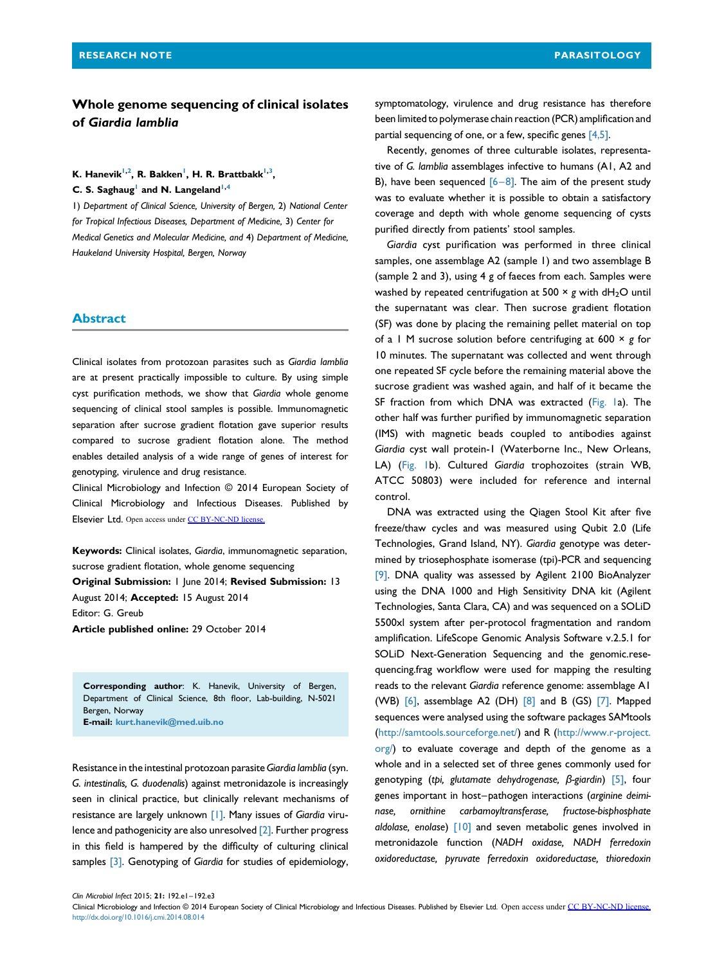# Whole genome sequencing of clinical isolates of Giardia lamblia

K. Hanevik<sup>1,2</sup>, R. Bakken<sup>1</sup>, H. R. Brattbakk<sup>1,3</sup>,

C. S. Saghaug<sup>1</sup> and N. Langeland<sup>1,4</sup>

1) Department of Clinical Science, University of Bergen, 2) National Center for Tropical Infectious Diseases, Department of Medicine, 3) Center for Medical Genetics and Molecular Medicine, and 4) Department of Medicine, Haukeland University Hospital, Bergen, Norway

#### Abstract

Clinical isolates from protozoan parasites such as Giardia lamblia are at present practically impossible to culture. By using simple cyst purification methods, we show that Giardia whole genome sequencing of clinical stool samples is possible. Immunomagnetic separation after sucrose gradient flotation gave superior results compared to sucrose gradient flotation alone. The method enables detailed analysis of a wide range of genes of interest for genotyping, virulence and drug resistance.

Clinical Microbiology and Infection © 2014 European Society of Clinical Microbiology and Infectious Diseases. Published by Elsevier Ltd. Open access under [CC BY-NC-ND license.](http://creativecommons.org/licenses/by-nc-nd/4.0/)

Keywords: Clinical isolates, Giardia, immunomagnetic separation, sucrose gradient flotation, whole genome sequencing Original Submission: 1 June 2014; Revised Submission: 13 August 2014; Accepted: 15 August 2014

Editor: G. Greub

Article published online: 29 October 2014

Corresponding author: K. Hanevik, University of Bergen, Department of Clinical Science, 8th floor, Lab-building, N-5021 Bergen, Norway E-mail: [kurt.hanevik@med.uib.no](mailto:kurt.hanevik@med.uib.no)

Resistance in the intestinal protozoan parasite Giardia lamblia (syn. G. intestinalis, G. duodenalis) against metronidazole is increasingly seen in clinical practice, but clinically relevant mechanisms of resistance are largely unknown [\[1\].](#page-2-0) Many issues of Giardia virulence and pathogenicity are also unresolved [\[2\]](#page-2-0). Further progress in this field is hampered by the difficulty of culturing clinical samples [\[3\]](#page-2-0). Genotyping of Giardia for studies of epidemiology, symptomatology, virulence and drug resistance has therefore been limited to polymerase chain reaction (PCR) amplification and partial sequencing of one, or a few, specific genes [\[4,5\].](#page-2-0)

Recently, genomes of three culturable isolates, representative of G. lamblia assemblages infective to humans (A1, A2 and B), have been sequenced  $[6-8]$  $[6-8]$ . The aim of the present study was to evaluate whether it is possible to obtain a satisfactory coverage and depth with whole genome sequencing of cysts purified directly from patients' stool samples.

Giardia cyst purification was performed in three clinical samples, one assemblage A2 (sample 1) and two assemblage B (sample 2 and 3), using 4 g of faeces from each. Samples were washed by repeated centrifugation at 500  $\times$  g with dH<sub>2</sub>O until the supernatant was clear. Then sucrose gradient flotation (SF) was done by placing the remaining pellet material on top of a 1 M sucrose solution before centrifuging at 600  $\times$  g for 10 minutes. The supernatant was collected and went through one repeated SF cycle before the remaining material above the sucrose gradient was washed again, and half of it became the SF fraction from which DNA was extracted [\(Fig. 1](#page-1-0)a). The other half was further purified by immunomagnetic separation (IMS) with magnetic beads coupled to antibodies against Giardia cyst wall protein-1 (Waterborne Inc., New Orleans, LA) ([Fig. 1](#page-1-0)b). Cultured Giardia trophozoites (strain WB, ATCC 50803) were included for reference and internal control.

DNA was extracted using the Qiagen Stool Kit after five freeze/thaw cycles and was measured using Qubit 2.0 (Life Technologies, Grand Island, NY). Giardia genotype was determined by triosephosphate isomerase (tpi)-PCR and sequencing [\[9\].](#page-2-0) DNA quality was assessed by Agilent 2100 BioAnalyzer using the DNA 1000 and High Sensitivity DNA kit (Agilent Technologies, Santa Clara, CA) and was sequenced on a SOLiD 5500xl system after per-protocol fragmentation and random amplification. LifeScope Genomic Analysis Software v.2.5.1 for SOLiD Next-Generation Sequencing and the genomic.resequencing.frag workflow were used for mapping the resulting reads to the relevant Giardia reference genome: assemblage A1 (WB) [\[6\]](#page-2-0), assemblage A2 (DH) [\[8\]](#page-2-0) and B (GS) [\[7\]](#page-2-0). Mapped sequences were analysed using the software packages SAMtools [\(http://samtools.sourceforge.net/\)](http://samtools.sourceforge.net/) and R ([http://www.r-project.](http://www.r-project.org/) [org/](http://www.r-project.org/)) to evaluate coverage and depth of the genome as a whole and in a selected set of three genes commonly used for genotyping (tpi, glutamate dehydrogenase, β-giardin) [\[5\],](#page-2-0) four genes important in host–pathogen interactions (arginine deiminase, ornithine carbamoyltransferase, fructose-bisphosphate aldolase, enolase) [\[10\]](#page-2-0) and seven metabolic genes involved in metronidazole function (NADH oxidase, NADH ferredoxin oxidoreductase, pyruvate ferredoxin oxidoreductase, thioredoxin

Clin Microbiol Infect 2015; 21: 192.e1–192.e3

Clinical Microbiology and Infection © 2014 European Society of Clinical Microbiology and Infectious Diseases. Published by Elsevier Ltd. Open access under [CC BY-NC-ND license.](http://creativecommons.org/licenses/by-nc-nd/4.0/) <http://dx.doi.org/10.1016/j.cmi.2014.08.014>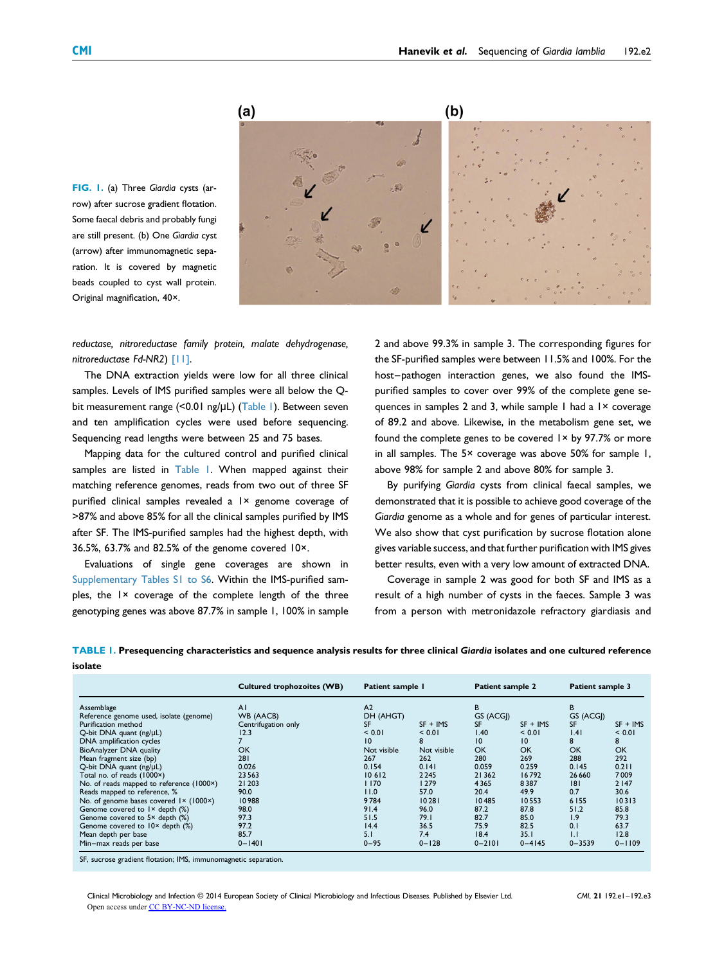

<span id="page-1-0"></span>FIG. I. (a) Three Giardia cysts (arrow) after sucrose gradient flotation. Some faecal debris and probably fungi are still present. (b) One Giardia cyst (arrow) after immunomagnetic separation. It is covered by magnetic beads coupled to cyst wall protein. Original magnification, 40×.

reductase, nitroreductase family protein, malate dehydrogenase, nitroreductase Fd-NR2) [\[11\]](#page-2-0).

The DNA extraction yields were low for all three clinical samples. Levels of IMS purified samples were all below the Qbit measurement range (<0.01 ng/μL) (Table 1). Between seven and ten amplification cycles were used before sequencing. Sequencing read lengths were between 25 and 75 bases.

Mapping data for the cultured control and purified clinical samples are listed in Table 1. When mapped against their matching reference genomes, reads from two out of three SF purified clinical samples revealed a 1× genome coverage of >87% and above 85% for all the clinical samples purified by IMS after SF. The IMS-purified samples had the highest depth, with 36.5%, 63.7% and 82.5% of the genome covered 10×.

Evaluations of single gene coverages are shown in Supplementary Tables S1 to S6. Within the IMS-purified samples, the 1× coverage of the complete length of the three genotyping genes was above 87.7% in sample 1, 100% in sample 2 and above 99.3% in sample 3. The corresponding figures for the SF-purified samples were between 11.5% and 100%. For the host–pathogen interaction genes, we also found the IMSpurified samples to cover over 99% of the complete gene sequences in samples 2 and 3, while sample 1 had a 1× coverage of 89.2 and above. Likewise, in the metabolism gene set, we found the complete genes to be covered 1× by 97.7% or more in all samples. The 5× coverage was above 50% for sample 1, above 98% for sample 2 and above 80% for sample 3.

By purifying Giardia cysts from clinical faecal samples, we demonstrated that it is possible to achieve good coverage of the Giardia genome as a whole and for genes of particular interest. We also show that cyst purification by sucrose flotation alone gives variable success, and that further purification with IMS gives better results, even with a very low amount of extracted DNA.

Coverage in sample 2 was good for both SF and IMS as a result of a high number of cysts in the faeces. Sample 3 was from a person with metronidazole refractory giardiasis and

TABLE 1. Presequencing characteristics and sequence analysis results for three clinical Giardia isolates and one cultured reference isolate

|                                           | <b>Cultured trophozoites (WB)</b> | Patient sample I<br>A <sub>2</sub> |             | Patient sample 2<br>B |            | Patient sample 3<br>B |            |
|-------------------------------------------|-----------------------------------|------------------------------------|-------------|-----------------------|------------|-----------------------|------------|
| Assemblage                                | AI                                |                                    |             |                       |            |                       |            |
| Reference genome used, isolate (genome)   | WB (AACB)                         | DH (AHGT)                          |             | GS (ACGI)             |            | GS (ACGI)             |            |
| Purification method                       | Centrifugation only               | <b>SF</b>                          | $SF + IMS$  | <b>SF</b>             | $SF + IMS$ | <b>SF</b>             | $SF + IMS$ |
| Q-bit DNA quant (ng/µL)                   | 12.3                              | < 0.01                             | < 0.01      | 1.40                  | < 0.01     | 1.41                  | < 0.01     |
| DNA amplification cycles                  |                                   | 10                                 | 8           | 10                    | 10         | 8                     | 8          |
| BioAnalyzer DNA quality                   | OK                                | Not visible                        | Not visible | <b>OK</b>             | OK         | OK                    | <b>OK</b>  |
| Mean fragment size (bp)                   | 281                               | 267                                | 262         | 280                   | 269        | 288                   | 292        |
| Q-bit DNA quant (ng/µL)                   | 0.026                             | 0.154                              | 0.141       | 0.059                 | 0.259      | 0.145                 | 0.211      |
| Total no. of reads (1000×)                | 23 5 63                           | 10612                              | 2245        | 21 3 6 2              | 16792      | 26 6 6 0              | 7009       |
| No. of reads mapped to reference (1000×)  | 21 203                            | 1170                               | <b>1279</b> | 4365                  | 8387       | 8                     | 2147       |
| Reads mapped to reference, %              | 90.0                              | 11.0                               | 57.0        | 20.4                  | 49.9       | 0.7                   | 30.6       |
| No. of genome bases covered 1× (1000×)    | 10988                             | 9784                               | 10281       | 10485                 | 10553      | 6155                  | 10313      |
| Genome covered to I × depth (%)           | 98.0                              | 91.4                               | 96.0        | 87.2                  | 87.8       | 51.2                  | 85.8       |
| Genome covered to $5 \times$ depth $(\%)$ | 97.3                              | 51.5                               | 79.1        | 82.7                  | 85.0       | 1.9                   | 79.3       |
| Genome covered to 10x depth (%)           | 97.2                              | 14.4                               | 36.5        | 75.9                  | 82.5       | 0.1                   | 63.7       |
| Mean depth per base                       | 85.7                              | 5.1                                | 7.4         | 18.4                  | 35.1       | 1.1                   | 12.8       |
| Min-max reads per base                    | $0 - 1401$                        | $0 - 95$                           | $0 - 128$   | $0 - 2101$            | $0 - 4145$ | $0 - 3539$            | $0 - 1109$ |

SF, sucrose gradient flotation; IMS, immunomagnetic separation.